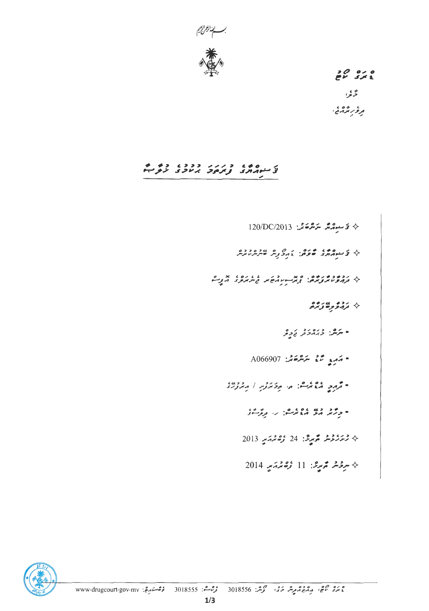

 $\begin{array}{ccc}\n & 0 & 0 & 0 \\
& 0 & 0 & 0 \\
& 0 & 0 & 0\n\end{array}$ ځه نو ، رسم ده ،<br>تر *و رسم د*رم

# ت وه د درد ددد، ده م<br>تی منه مارس در در در در در

 $120/DC/2013$  لَا سَوْمَةً مِنْ  $\sim$   $\sim$   $\sim$ ٩ توسيع د ده د د و و عدد د د و د ده سروه<br>به ترونوره زبره - يرمر.<br>- يرمر: دېرمرد پړولو  $A066907$  : يَدْمَعْ مَسْتَعَمَّرْ: 4066907 " محمد و و و و معرض المستقرر المستورد.<br>" محمد و المعرض المستقرر المستقرر المستقرر و المستقرر و المستقرر و المستقرر المستقرر المستقرر المستقرر المستقر  $2013$  مِسْرَرْعِيْرْ مَسْرِعْ: 24 رُحْمَدَ سِيدِ 2013  $2014$  مردمه محمد المسلم المسلم المسلم المسلم المسلم المسلم المسلم المسلم المسلم المسلم المسلم المسلم المسلم المسلم المسلم المسلم المسلم المسلم المسلم المسلم المسلم المسلم المسلم المسلم المسلم المسلم المسلم المسلم المسلم

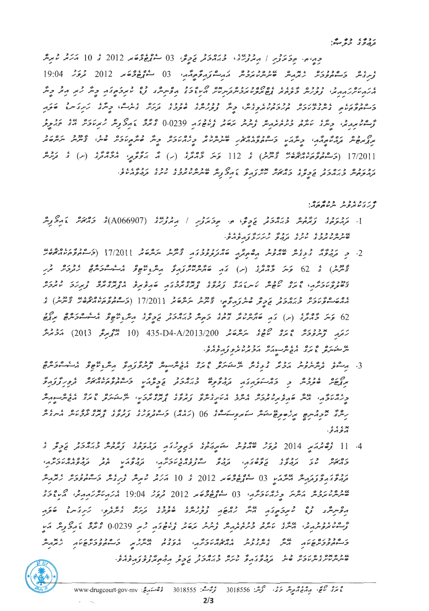جەپەمە مەكەترىس / مەمرىرىق مەيرەك كى يەق 03 سۇھ كەھەر 2012 كى 10 مەيرىم ئىمبىر ۇر، مەر ئەددىرە ئەترىرىم ھىرىرىن ئۇچرە ئەر ئورگومۇمۇم، 19 ئۇغۇر 19:04 كىرىر 19:04 (19:04 ور روز دو دوده ورود و دور دوه در سال مراجع و دو ده ده ده و در در شور در مرکز و تکر<br>مربر دارید در اول دومه ده در اول در دارد اول در دوس در اول در اول در اول در اول و تکر 17/2011 (خَرْجُوْمُومِ مِنْ مِنْ عَمْدِهِ) بِهِ 112 حَسَّرَ جَهْدَتِهِ (ر) مَنْ بَرْقَوْمِرْ، مُحَهْدَتِهِ (س) بِهِ رَوْمِر קבקבה בקהקב קדים ההקדה מהידיקה פיקדים מבחברים מקדים מבימון.<br>בתהיפתיות בזוהבת הביצוב בהאזור מיקדה פיקדים ומיקייות והוקבוב מיקוב בתהיפה מפי

#### **نه بر برد پر د د د د به بره.**<br>از برای مونتر و سر مونتر برد.

- 
- رَمَهِ مَنْ مُؤْمِنُ ۚ وَمِنْ مَنْ صَوْءٍ مِنْ صَوْمَةٍ 435-D4-A/2013/200 مَنْ مُعْرِمِ 2013) مَدْمُرْسْر ی دره ه ده ده ده و ده ده دوده د ده ده.<br>سر مشیر در ده در ده سر سورش در حرم مرد و در دره د
- 3. پرسوي ماه دو برونو و ماه امل شرس ه بره اله ده برونو برود براي اله ماه ماه بره ه<br>3. پرسوي ترسريوس پرتريز مانومس شرسکوسري مايرما پريوسرسر از سرگواريزي پرسوي پرسوسوسري כי מיד נודע מיד כל המיד המיד המיד הודי המיד מיד מיד המיד המיד המיד.<br>המיד היי מיד המיד המיד היית המיד מיד המיד המיד המידע והמיד למיד המיד המיד המיד. × ، ، ، ،<br>بر *و بر و*۰
- 4. 11 ژوه پرښيد 2014 فروگر عامرونلر ڪرير پرچري ڪي پرچري وري وري د د دور او پر د و ره ده دومه رومه دمود دوم موده درم دومد به دومود درمه درم.<br>ویرهیر بربل ویرمود و دهوی کمیترو درمورد ویرموی می ویروی درموری درم بروی گروپر میگریم و 03 میلی وی به 2012 و 10 برگر میرش زیرو کرمی و دوره ویوپر ھىر مەدەبىر مەھەر بەرمەت كەن ئۇيغۇچە 2012 قرۇر 19:04 مەربەتلەر بىر مەردە ئ و دورو در به عدد از دورو دورو و دور بردو در دورو دور دور 1923.0 و دور از بر ק סככקסקה מיט מסכככ מסמסקקים מקבב מיטב ק סככקסקה מצים.<br>כניינים פכקסקות היית מיתמצעית ההאמריקיקה הפמסה הייתקה כניינים שקור קומרית. מכני מכונים בגורדים במינים בינים בינים בינים בינים בינים בינים.<br>סיתית מעיק בית שית נקרות באופי מיתית בן אורכת ביבית וקרות מקבל פרות באופי

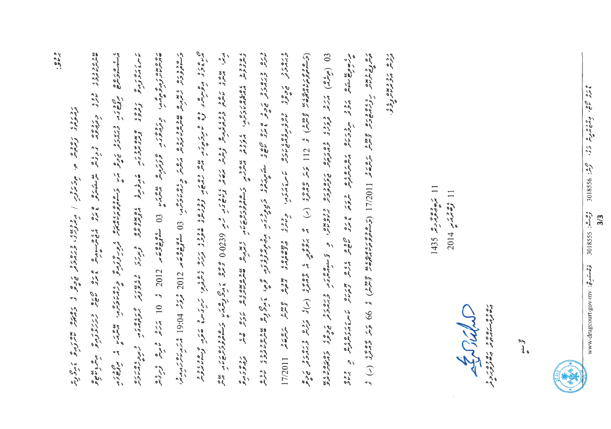مي ه د د ه موه ده د و پر تر پر بر بر به ده تر دوه د دود از دره ده وي کرد تر تر تر شود و مدر د ده د د د د<br>مراج خرد بر همين د د او ميرخ مي تر بر بر بر بر بر اي از اي د اي د اي د بر اي بر اي بر اي بر اي اي اي اي اي اي  $\mathcal{I}_i$ وره دو د چ ه ده د ن و دو و و د د<br>ه سرسر د برو د ، در ه ره ه<br>پرسندسرج م سره ده ر ده<br>ما سر ٤ در و و در و reason is a contract of the contract with  $\frac{1}{2}$  and  $\frac{1}{2}$  (10.2 ° 10.25 in the first contract of the first contract of the first contract of the first contract of the first contract of the first contract of the fir ر ۱9:04 دره عبر چهره عامل در در از این از این در داران ۱۹۶۵ و ۱9 ساموه ۱9:04 در در ۱9:04 انگریز بر در این در ره د د جده د دوره و د و د و و معرور مربوره (17/2011) (تر ۱۶۵۵م درموده و از ۱7/2014) و کرم د د و د د د د د د د <br>مسرف سرسر ر جا بن الملا مرود موترترين مرور برون و بر و بر و بر و با بن الملا بر با بن الملا بن الملا بن الملا بن الملا ب<br>من الملا بن الملا بن الملا بن الملا بن الملا بن الملا بن الملا بن الملا بن الملا بن الملا بن الملا بن الملا بن يومبرد المنظري المحروري والمحرور المركبات المحركة والمحركة والمحروري والمحركة المحركة والمحركة المحركة المحركة<br>المسرور المعرض المحركة والمحركة المحركة المركبات المحركة والمحركة المحركة المحركة والمحركة المحركة المحركة الم د دور ورود و ده د و کس ر وده درده و و در د و دورد و درده به به در و درده د درون د رده، ویده برد .<br>زیروء بریردیود ردرده ده ده ده من در از مقومت دره در کار و ده ده به معرفی ده ده در انداز در ده با در کند  $\frac{1}{2}$  and  $\frac{1}{2}$  and  $\frac{1}{2}$  and  $\frac{1}{2}$  and  $\frac{1}{2}$  and  $\frac{1}{2}$  and  $\frac{1}{2}$  and  $\frac{1}{2}$  and  $\frac{1}{2}$  and  $\frac{1}{2}$ י ג' ג' גונדוני צייר<br>סיפולי אי גונדוני צייר ב המיני שיהם מיני ביתביאסינים<br>מתפצת התפריבה לתכונה روی ر<br>تروپی ترمری

Crimin

روه روویده ،،<br>دیرس پروبرملنزوگرو.

100 G V - 100 G V - 600 G G V C C

 $\int\limits_{\beta\in\mathbb{N}}^{\beta}$ 

وه مستورج : www.drugoourt.gov.mv

3 45 000,

ه ده ده می کرد .<br>پرمان مورش کرد .

3018556:29

 $301855:222$ 

 $3/3$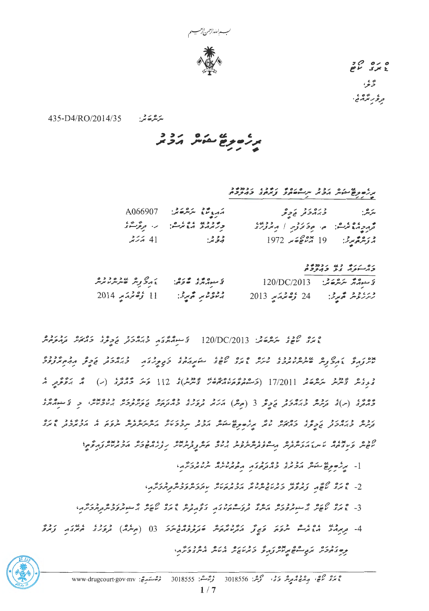

 $20000$ ۇنۇ، ، رسم در د.<br>تر *و ر*سمه د ح

ىر ەر دې.<br>سرسرە ئىر: 435-D4/RO/2014/35

ر و به به مشهور برو د<br>مرزه موجع مشهور برو بر

| شرش: د د د د د د و د          | مەردىم ئەشقىغا A066907                                                                                                                                                                                                                                                                                              |  |
|-------------------------------|---------------------------------------------------------------------------------------------------------------------------------------------------------------------------------------------------------------------------------------------------------------------------------------------------------------------|--|
| قرم وموعي والمستخرج المتعرفية | ومعلا ووعاء والمستخلص المستحملة                                                                                                                                                                                                                                                                                     |  |
|                               | $\frac{1}{2}$ $\frac{1}{2}$ $\frac{1}{2}$ $\frac{1}{2}$ $\frac{1}{2}$ $\frac{1}{2}$ $\frac{1}{2}$ $\frac{1}{2}$ $\frac{1}{2}$ $\frac{1}{2}$ $\frac{1}{2}$ $\frac{1}{2}$ $\frac{1}{2}$ $\frac{1}{2}$ $\frac{1}{2}$ $\frac{1}{2}$ $\frac{1}{2}$ $\frac{1}{2}$ $\frac{1}{2}$ $\frac{1}{2}$ $\frac{1}{2}$ $\frac{1}{2}$ |  |

ره رره دی ردهده<br>درستون دار دبروه

| د مرکز می برده د ده<br>د مرکز می میر سر سر سر | لا منور مور ده وه.<br>لا منور برا در حاومي |                              | $120/DC/2013$ $2.2227$ |
|-----------------------------------------------|--------------------------------------------|------------------------------|------------------------|
| 11 ك <i>رقة قم</i> دسمبر 2014                 | برندونو محبرته:                            | 24 ك <i>ۈڭلىرىمى</i> يە 2013 | ور، وو محبوري:         |

ە رە مىدە ئەدەر.<br>غىرى ئاھاي ئىرگەكلىر: 120/DC/2013 - ئۇسىرلەرگەر قارلىرى ئومۇر قالدىمەر بولىرمومەر و ، ، و تؤمير مرمرة پر 17/2011 (جَسوڤروسروسي معدود)، 112 دَمَرَ جُومِرَى (بَ) أَمَّ بَرْوَكْرِيْر أَمَّ נכס בנסיג ניסיג בין המים בין גם מים נכבר בניסיג בין ניסיג בניסיג בין בין בין בין בין.<br>בצייר בן הכבר בקיב בהאזיר עזק זקליסיקיס המית הכזק ייקבבעיק הייקייקיות ייקפה היהבזקבה, גזורי

קרס קדושים קוויקטים מיטוס ברכב כס קס בנוסד בנוסד המינוח הנוסדות.<br>הפית פעיבים מית בהגית בתית הבייסבת יתוקים יותר באית ובתית ות הקידות הפיקטית באית הקידות בי

ן - מתפופן באיני בסיכון בכנים בכנים ויותר<br>|- מתפופן באוני הכמד כמתפודה הפמיניות היומציתה

ם מם 8% – קרבים קרקקסקים בשי קרדקקס קקסקסקסקסקס.<br>2- גיוני משון קונקסק כונמובייקמיו, ונכונסיטיק מונקסקסקסקסקס.

- 3 ס מ מ מ מ ה יכנים ו ס זיכו ס גבו ב מ הם כנס מינס מינס זיכו ב בינים ביות.<br>3 גודה ב עשות האייבודות הייתוב וקפייטימיו בוא בינים ביות ביות המינים ביות הקודבות הי
- נכנס תב סם מסג זו נגדום ונסים וסכנז.<br>תם בהכת תב החסת מית נותם כתומת ומית ומת בתו

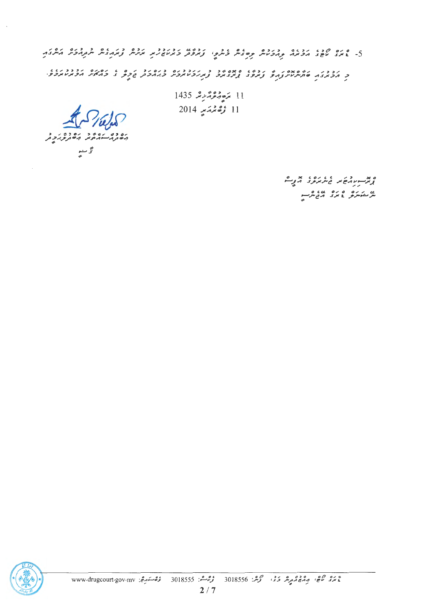5- 200 אינו אינו בין האבלית קשלת ליתקו ניתונו הבינבר הניתונית במהלית ותהבת היתונה.<br>5- 200 יוסל הכמה קהבלית קשלת ביתקו נמוקות במיוסלת הניתול נמהלית ותהבת היתונה .<br>כ הכתבה שהייתות הפי במפז המזמכ המגבינים בגהכת הכת ז בהאיני הכמיותכפי

> $1435$  کے فہوم کرنگر 1435  $11$ 11 زەنمىقىيە 2014

دىياسىيە<br>مەنبە ئەستىقىدىمە ئەنبەر ئەستىدىنى<br>ئەستىلىقى ئەستىر

وبمسور ومنتظر والمروم المحريث ی دره ه ره سه و.<br>مرتفکرو نامری ارتباطی

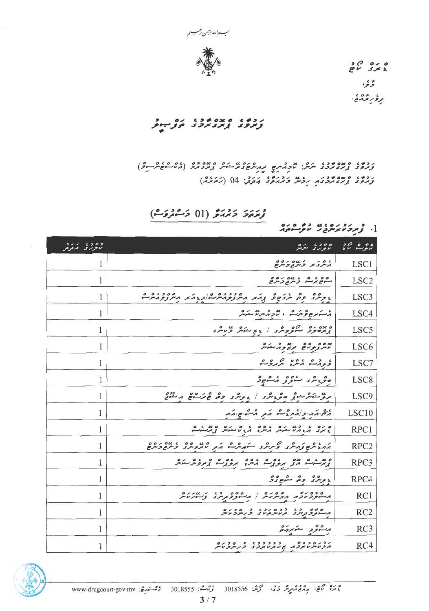

 $20000$ ۇيۇ، ، ره ه ، ،<br>تر *و ر*ند د مي .

ر د د په ده په ده ده ده د د د<br>ترجرون په پرند پرچرن هرتي سونو

ת כפי ה ממשיכי יותר. אך היותר ותומש במיטיון נמצאים (2000 מיטים)<br>נמפי נמצאים מיטי לקומת מיטיון מיטיון נמצאים (היו הפיוניים) رده، معامد در رؤیز درو، برقرش 04 (روده)

زىرىزى ئەمدىكى (01 ئەشىرىن)

.<br>1. توپروسموسرچ ر سوستمبر<br>در سرگور سوستمبر

| و ه و ه از بر د<br>تانو بر بر ایمرفر | ە ئەھەر ئەمەدىيە بىر ئە                                                                             |                  |
|--------------------------------------|-----------------------------------------------------------------------------------------------------|------------------|
| 1                                    | גם ק"ג המסיםם<br>הית בית בית בית ים                                                                 | LSC1             |
| 1                                    | ספט פ טשפים פ                                                                                       | LSC <sub>2</sub> |
| 1                                    | د پرس وه سروج و برم مسروم مشاور مکر مسروم مس                                                        | LSC <sub>3</sub> |
| 1                                    | أرسكي وعرك المحروم مركا متكامر                                                                      | LSC4             |
| 1                                    | ه ده ده مره و مرد اجم من و عامل در مدرد                                                             | LSC <sub>5</sub> |
| 1                                    | بده <i>و و ه هم پر پر بر شکر</i>                                                                    | LSC <sub>6</sub> |
| 1                                    | ، ده ، ده مرکزی                                                                                     | LSC7             |
| 1                                    | ھويىر ئىسرى مىسمى                                                                                   | LSC <sub>8</sub> |
| 1                                    | برنو منكر معوثه موجوش الموسرى العام والمعامل المنفوض                                                | LSC <sub>9</sub> |
| 1                                    | המה תור בין הר הב הב הריים ה                                                                        | LSC10            |
| 1                                    | ه بره عدد دره عده عدده و مده و مدر ه<br>علمری امروانه مشویش امروس امروس امروس او محرسه              | RPC1             |
| 1                                    | ההגית קומת ב קיית בית ההתעם הב עזקפית בית בכית ב                                                    | RPC <sub>2</sub> |
| 1                                    | ه بداره بده ده و ده ده ده ده و در ده مده<br>پرسرسر امراز مرمربی در مرمربی و بروهر مشهر              | RPC3             |
| 1                                    | ۽ پرسري وهر ڪيونگر                                                                                  | RPC4             |
| 1                                    | م شود ماده مرد مرده از مشود و مدید و سور مامر<br>مسوود ماد مرد مرد مرد مرد از مسوود مرد از سور مامر | RC1              |
| 1                                    | ם מים - כגז ככם מכג - כ- מים מים<br>המיישקיפת מים - המיישת מישקים מיישקים מיים                      | RC2              |
| 1                                    | مسوئر متعربهم                                                                                       | RC3              |
|                                      |                                                                                                     | RC4              |

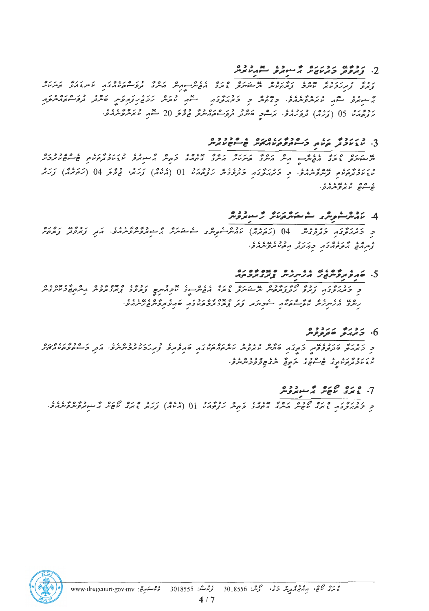### $\alpha$ . נאפע כאטאת הענקפ מהמאית

ر ده د بررده بدون ره دوه به مرکز و دره بان و مرکز دره در درباره در کامل کار در در در درباره در درباره در دربار<br>توجری توبرترمایش تاملات توبگرمانامل مرسکه کلی با برای مرکز مرکز توبرتر موسوعاتر میکرد. کامل کامل کامل کامل کام و دع پر دره ۱۱۶۶ پرده دردروز به درو رده روموس کارو دره دره در در رده رد و 15 (ترمه) درد ،، ، کرکسی ته در در مرد دور دور و 20 سعد در در در در .<br>بر توجه بر 05 (ترمه) مرد بر در در کرکسی ته بر تروکسی برگر فرقر 20 سعد تا بربرد و برم

#### 3. כיונט יו יו פנטיוסים וסיננס.<br>3. עצעקה העם, קיימקוקמאומית שייקשעותית

ש בינדים בינים שים בין הייתה בינים נוסף בינים בינים לי כש בינדרים שים בינים בינים.<br>תוכלית אי ביציב הפיתה הייתה הייתה ביניתה ביניה ביניה היה בינית של של בנקשות שייש שיביתי ه وه د د د د د د .<br>جو سوچ لامرولرمرو

#### 4. ئام شرك موسرى كەن ئەسكەش كىرىدە بىر دەر

د دورور دومه ورود (کرده دوم) کرده می دهد.<br>د کمبرکرد کرفروش () (کردبرای) کرده موش کرده شوش گرسوپروگروگرمران از ترموتر تومرور ، رو، مرد ورد در دور، دوره دور.<br>وسرمنی برو ویران در موسر مرد سر

## 5. שהתתאים גם גם המיתור האבדוארים.<br>5. שהתאית את התיתור האבדוארים.

כ ברושה הרדי המינים על המקורים בינים השיתיים בינים ובנים באינים הייתוחים בינים בינים בינים בינים בינים בינים ב<br>כ באגאיפצה צאיפ אתצות בית האינים באיני השיתיים לקהיקים צאיפים צאיבאינים הייתוחים בינים. 

#### 6. زدره دردده<br>6. زیربر مترووس

נדוני נונד מגרש מינודים באדד נסיסיני ומינדים במינודים במינדד במינוד בריים ומודד בריים.<br>כדורק שנתקפתית בהציף שתית מהקפית מיתה אינודים שף פהקפת תהקבוד בקודות בייתוח הב د بر د ډېر په په ده د په کې په په ده ده په د د کې د د د کې د کارو .<br>مړين کو تر ډېر لوړ د هم شوی چې په کو مور په د سر کو کو مور شريع .

#### 7. عندي كان ثم مسلم وهو

د درور و ده موده موده به بارون د مرد دورد 10 (مارول) زرد و در ه مرد شورگرده و دارد.<br>د کمربرگرد ، نمرد کاچش برسرد د مرد کرمرش ترومان 10 (مالا) زرنمر ، برد کاچش بر شورگرمرمربرم.



ەرەمى جەن بەقەق قىزىر ئىق ئىش: 3018556 - ئۇھىشى: 3018555 - ئۇھەسىرىج: www.drugcourt.gov.mv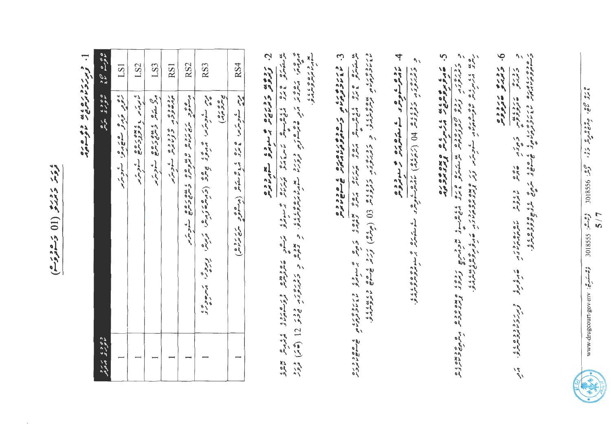ء *مت د دب*و (01) دهوه.

د برزد ره ده به ده وی ماد

|                            | LS1                       | LS <sub>2</sub>      | LS3                                                                                                                                                                                                                                                                                                                                                                             | RS1                        | RS <sub>2</sub>                                                                      | RS3                                                          |                                        | RS4                                       |
|----------------------------|---------------------------|----------------------|---------------------------------------------------------------------------------------------------------------------------------------------------------------------------------------------------------------------------------------------------------------------------------------------------------------------------------------------------------------------------------|----------------------------|--------------------------------------------------------------------------------------|--------------------------------------------------------------|----------------------------------------|-------------------------------------------|
| 0400 12 1415 44            | ، ور تره ه ه ه و . شود پر | ، در دولاژمره سازمرس | $\begin{array}{lll} \mathcal{C}_{\mathcal{A}} & \mathcal{C}_{\mathcal{A}} & \mathcal{C}_{\mathcal{A}} & \mathcal{C}_{\mathcal{A}} & \mathcal{C}_{\mathcal{A}} & \mathcal{C}_{\mathcal{A}} \\ \mathcal{C}_{\mathcal{A}} & \mathcal{C}_{\mathcal{A}} & \mathcal{C}_{\mathcal{A}} & \mathcal{C}_{\mathcal{A}} & \mathcal{C}_{\mathcal{A}} & \mathcal{C}_{\mathcal{A}} \end{array}$ | ردیده می می درده که کاربرد | ده و در ده وه وي ه وي دروه و د ور ده .<br>در سونور سرچ مرتاس تامروسر و شرح وسرح کسون | ورس ساوینرس و وی جایز (ترماههٔ ترماها ترماه) و بروش مسرحان د | ہ صرح رہ<br>میں شرحی میں<br>مجاہرے میں | درس ساوری و و و و و عرده ( برسوو مرد و در |
| د ۶۶۶ مرد<br>ماعر و ماندوس |                           |                      |                                                                                                                                                                                                                                                                                                                                                                                 |                            |                                                                                      |                                                              |                                        |                                           |

Ż. رده به دوربه هم سرود سوبر دو

ه ورد. د بروی د در وی ور د در بعد د روی به د بروی به در دور د برد د د در د د د و د از از از از از از از از از<br>مزیده: منزوند مز و هنرسووی د ورد به سوم نیتروندمزی و تحصیر و تحتین و و تحریر از از از انگار از از از از از از یو و ره پر پا ،<br>سود *لا پو*س و سربره .

ن<br>س 

د ربرده ب عاده و در د بر د د بره بر د د د و د د د و د و د و و و مال از تر د او ه ه و د بان د د .<br>۱۶۷۲ د وی نوم و برو د برو بر د بر از د د د و د و د و د و د و از از از از از از ان از ان از ان ان ان ان ان ان ا ین مترور عثری میگویسیوم میلادی میلادی و میلادی و میلادی می سنومرو در بر دوره به این میلادی در میلادی<br>میرستومری عثری میگویسیومر میلادی میلادی میلادی و میلادی میلادی به سنومرو که با با با با با با با با با با با ب

5. غېرو بروه دي په دروره و مورو پروه ده. 

6. زوره من دوه.

 $\mathcal{U}$ 

- دوره - دره نه<br>دوره - دوره س

 $5927$ 

יז כ זכר מתוקדות<br>שתייר אזקרייר איתיקריקרי

م د کار کار کار<br>هار کار کار کار

و بررو ووه به ده .<br>توسرترم برو میرم

 $\frac{1}{2}$ 

ر حدود رده در دود در دود در دود .<br>در سوورو مردود در دود در دود در دود در دود در دود در دود .

د دره در دوه ولا (ترګومی) روه ده د سورې د سره شورې د سره ده وه وه ده د .<br>د بورم د تر د وو و و له (ترګومی) روه د سورې د سورې بن د چې سنومومومومی

4 رده ش وه د ستا متزوده و مسروده<br>ماپرس شویس و ستوس و مسروس

 $\gamma$   $\gamma$ 

 $2.4$   $\frac{6}{9}$   $\frac{6}{9}$   $\frac{6}{9}$   $\frac{6}{9}$   $\frac{6}{9}$   $\frac{6}{9}$   $\frac{6}{9}$   $\frac{6}{9}$   $\frac{6}{9}$   $\frac{6}{9}$   $\frac{6}{9}$   $\frac{6}{9}$   $\frac{6}{9}$   $\frac{6}{9}$   $\frac{6}{9}$   $\frac{6}{9}$   $\frac{6}{9}$   $\frac{6}{9}$   $\frac{6}{9}$   $\frac{6}{9}$   $\frac{6}{9}$   $\frac{6$  $5/7$ وحرهة: 3018S55 وصبة: www.drugcourt.gov.mv والمستشرفة المصبحة المستشرفين المستشرفة المستشرفة المستشرفة المستشرف

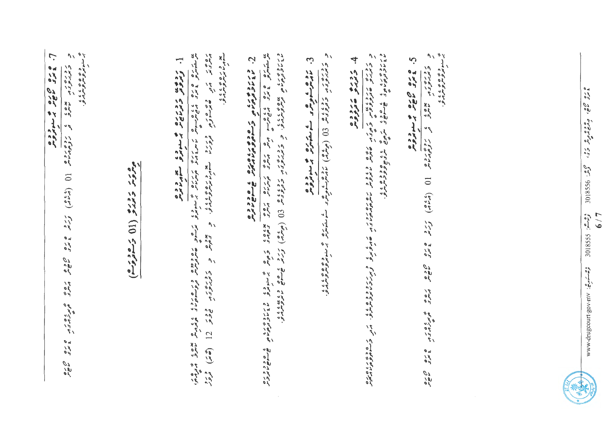| ي سوبون ده وي ، ، ، ،<br>بر سوبون ده وسرون.<br>$\mathcal{N}$<br>7. عارو 200 می شدد و د<br>رورور معرف و روورماه (1949) كردو و دو معرو مورو و دور و دور<br>مور د د دره (11 زمود دم) | یو د د ره ۶ و د د د<br>ره در در ده وه وراز می در ده در ده وراز در می در در در در در در این این این<br>]. ژژوی زژرای و سوده تعادروه | وربروه بره ماه وه بازه. بر بروبره برود و بازه از (میگان) میگرد خاصی دیمنده باز<br>ماندونهای فرمزومین بر کامیکوی بر کامی بازی از این بازی است است میگرمی با<br>C. Solomon Cococost Solomon Saccost | و روره د و دوده که (0) (ویلم) نامبرخور که شمیره و سوره و سوره و در در<br>3. نام و عاد می کند از میکن از می از می شده بر و د ه<br>در انگرام می می کند با می می کند از می کند و با می کند و می | <b>いいかん じゅうしゅう しゅう かいかい かいりょうきょう かいかん きょうかい じゅうしょう かいしょう かいしょう かいきょうかい</b><br>$\mathcal{L}$<br>4 3224 متروم<br>ر دره ررد پن سازه می در ده و د ده در می ده دور در در در ده دور و بر ردود و ه به در دور در ده ده در ده ده کرد<br>در بر در هوار و و به ده و در هارس مایروس ماس و بر در سازه در های در دور بر در در در در در در در در در در بازی | په سندون وي د د د .<br>پر سندونترونترونترارو.<br>$\mathcal{U}$<br>5. عامرو 200 م سنوترومر<br>5. عامرو 200 م سنوترومر<br>ر در برن ر<br>مروسری ر<br>rale of regional (6,10) Ers zwe now was observed zwe |  |
|-----------------------------------------------------------------------------------------------------------------------------------------------------------------------------------|------------------------------------------------------------------------------------------------------------------------------------|---------------------------------------------------------------------------------------------------------------------------------------------------------------------------------------------------|----------------------------------------------------------------------------------------------------------------------------------------------------------------------------------------------|----------------------------------------------------------------------------------------------------------------------------------------------------------------------------------------------------------------------------------------------------------------------------------------------------------------------------------------------|--------------------------------------------------------------------------------------------------------------------------------------------------------------------------------------------------------|--|
| oy of                                                                                                                                                                             |                                                                                                                                    |                                                                                                                                                                                                   |                                                                                                                                                                                              |                                                                                                                                                                                                                                                                                                                                              | oral<br>C                                                                                                                                                                                              |  |

 $\sim$ 



 $\frac{6}{50}\frac{1}{\sqrt{6}}$ : AUI-A03-111005011p·MMM

ە رە 60 مۇمۇمرىي دى. كېمىن 388106  $\frac{2.5 - 3.5}{5}$  55810E